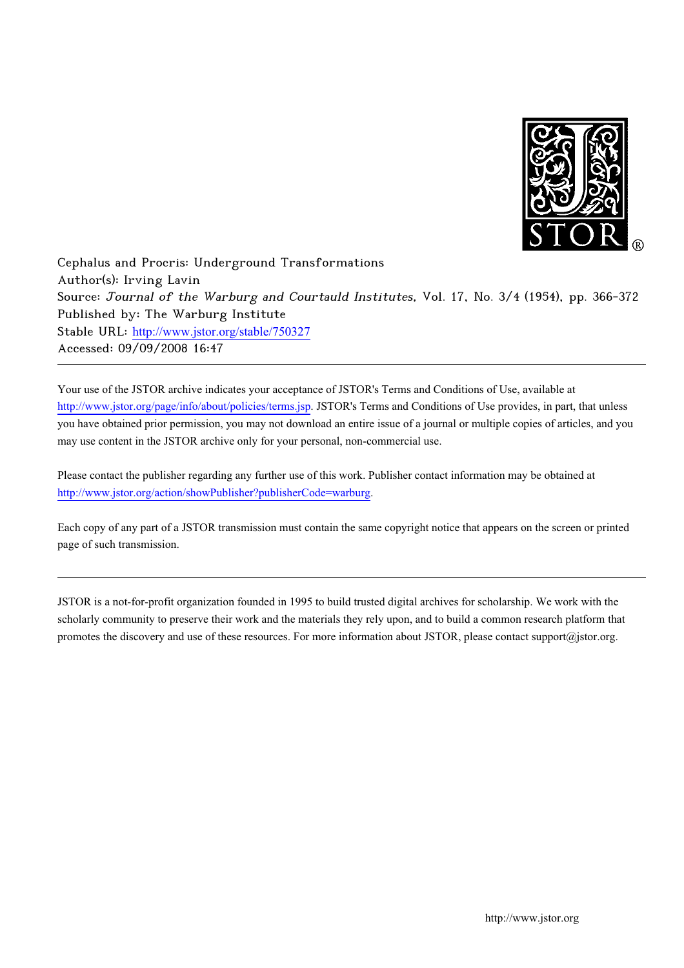

-   Published by: The !"  - # &'# )../)'0 http://www.jstor.org/stable/750327<br>Accessed: 09/09/2008 16:47 Accessed: 09/09/2008 16:47

Your use of the JSTOR archive indicates your acceptance of JSTOR's Terms and Conditions of Use, available at http://www.jstor.org/page/info/about/policies/terms.jsp. JSTOR's Terms and Conditions of Use provides, in part, that unless you have obtained prior permission, you may not download an entire issue of a journal or multiple copies of articles, and you may use content in the JSTOR archive only for your personal, non-commercial use.

Please contact the publisher regarding any further use of this work. Publisher contact information may be obtained at http://www.jstor.org/action/showPublisher?publisherCode=warburg.

"

2

Each copy of any part of a JSTOR transmission must contain the same copyright notice that appears on the screen or printed page of such transmission.

JSTOR is a not-for-profit organization founded in 1995 to build trusted digital archives for scholarship. We work with the scholarly community to preserve their work and the materials they rely upon, and to build a common research platform that promotes the discovery and use of these resources. For more information about JSTOR, please contact support@jstor.org.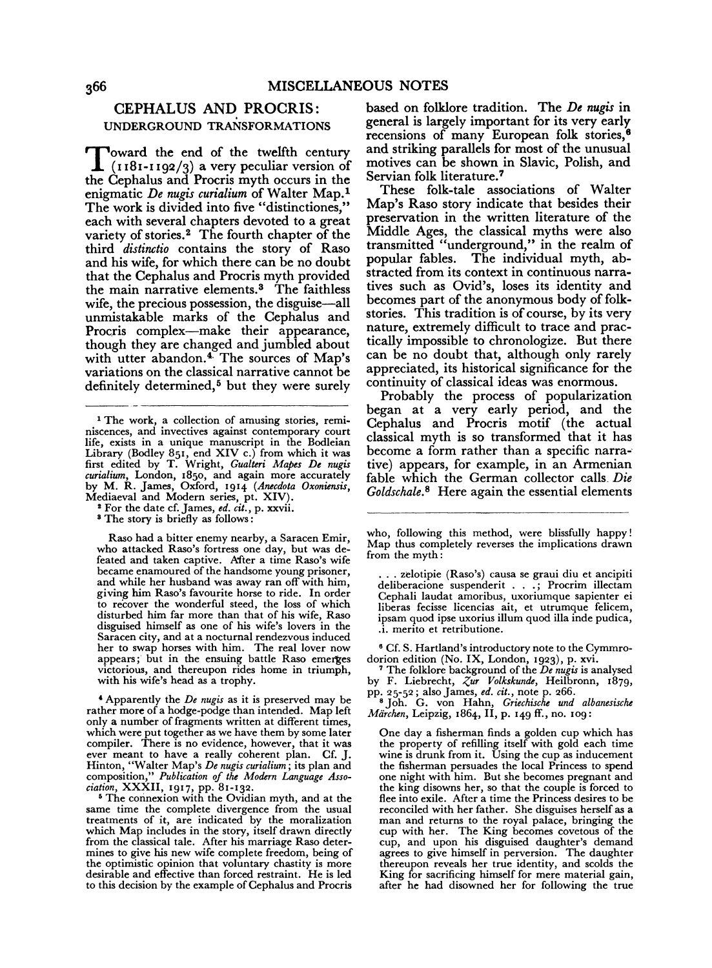# CEPHALUS AND PROCRIS: UNDERGROUND TRANSFORMATIONS

Toward the end of the twelfth century  $(1181-1192/3)$  a very peculiar version of the Cephalus and Procris myth occurs in the enigmatic *De nugis curialium* of Walter Map.1 The work is divided into five "distinctiones," each with several chapters devoted to a great variety of stories.<sup>2</sup> The fourth chapter of the third *distinctio* contains the story of Raso and his wife, for which there can be no doubt that the Cephalus and Procris myth provided the main narrative elements.<sup>3</sup> The faithless wife, the precious possession, the disguise-all unmistakable marks of the Cephalus and Procris complex-make their appearance, though they are changed and jumbled about with utter abandon.<sup>4</sup> The sources of Map's variations on the classical narrative cannot be definitely determined,<sup>5</sup> but they were surely

Raso had a bitter enemy nearby, a Saracen Emir, who attacked Raso's fortress one day, but was defeated and taken captive. After a time Raso's wife became enamoured of the handsome young prisoner, and while her husband was away ran off with him, giving him Raso's favourite horse to ride. In order to recover the wonderful steed, the loss of which disturbed him far more than that of his wife, Raso disguised himself as one of his wife's lovers in the Saracen city, and at a nocturnal rendezvous induced her to swap horses with him. The real lover now appears; but in the ensuing battle Raso emerges victorious, and thereupon rides home in triumph, with his wife's head as a trophy.

'Apparently the *De nugis* as it is preserved may be rather more of a hodge-podge than intended. Map left only a number of fragments written at different times, which were put together as we have them by some later compiler. There is no evidence, however, that it was ever meant to have a really coherent plan. Cf. J. Hinton, "Walter Map's *De nugis curialium;* its plan and composition," *Publication* of *the Modern Language Asso-*

*ciation, XXXII, 1917, pp. 81-132.*<br><sup>5</sup> The connexion with the Ovidian myth, and at the same time the complete divergence from the usual treatments of it, are indicated by the moralization which Map includes in the story, itself drawn directly from the classical tale. After his marriage Raso determines to give his new wife complete freedom, being of the optimistic opinion that voluntary chastity is more desirable and effective than forced restraint. He is led to this decision by the example of Cephalus and Procris

based on folklore tradition. The *De nugis* in general is largely important for its very early recensions of many European folk stories, 8 and striking parallels for most of the unusual motives can be shown in Slavic, Polish, and Servian folk literature. 7

These folk-tale associations of Walter Map's Raso story indicate that besides their preservation in the written literature of the Middle Ages, the classical myths were also transmitted "underground," in the realm of popular fables. The individual myth, abstracted from its context in continuous narratives such as Ovid's, loses its identity and becomes part of the anonymous body of folkstories. This tradition is of course, by its very nature, extremely difficult to trace and practically impossible to chronologize. But there can be no doubt that, although only rarely appreciated, its historical significance for the continuity of classical ideas was enormous.

Probably the process of popularization began at a very early period, and the Cephalus and Procris motif (the actual classical myth is so transformed that it has become a form rather than a specific narra-· tive) appears, for example, in an Armenian fable which the German collector calls. *Die Goldschale.* 8 Here again the essential elements

. zelotipie (Raso's) causa se graui diu et ancipiti deliberacione suspenderit . . . ; Procrim illectam Cephali laudat amoribus, uxoriumque sapienter ei liberas fecisse licencias ait, et utrumque felicem, ipsam quod ipse uxorius ilium quod ilia inde pudica, .i. merito et retributione.

8 Cf. S. Hartland's introductory note to the Cymmro-dorion edition (No. IX, London, 1923), p. xvi. 7 The folklore background of the *De nugis* is analysed

<sup>7</sup> The folklore background of the *De nugis* is analysed by F. Liebrecht,  $\zeta$ ur *Volkskunde*, Heilbronn, 1879,

pp. 25-52; also James, *ed. cit.,* note p. 266. 8 Joh. G. von Hahn, *Griechische und albanesische Miirchen,* Leipzig, 1864, II, p. 149 ff., no. 109:

One day a fisherman finds a golden cup which has<br>the property of refilling itself with gold each time wine is drunk from it. Using the cup as inducement the fisherman persuades the local Princess to spend one night with him. But she becomes pregnant and the king disowns her, so that the couple is forced to flee into exile. After a time the Princess desires to be reconciled with her father. She disguises herself as a reconciled with her father. She disguises herself as a man and returns to the royal palace, bringing the cup with her. The King becomes covetous of the cup, and upon his disguised daughter's demand agrees to give himself in perversion. The daughter thereupon reveals her true identity, and scolds the King for sacrificing himself for mere material gain, after he had disowned her for following the true

<sup>&</sup>lt;sup>1</sup> The work, a collection of amusing stories, reminiscences, and invectives against contemporary court life, exists in a unique manuscript in the Bodleian Library (Bodley 851, end XIV c.) from which it was first edited by T. Wright, *Gualteri Mapes De nugis curialium,* London, 1850, and again more accurately by M. R. James, Oxford, 1914 *(Anecdota Oxoniensis*, Mediaeval and Modern series, pt. XIV).<br>
<sup>2</sup> For the date cf. James, *ed. cit.*, p. xxvii.<br>
<sup>3</sup> The story is briefly as follows :

who, following this method, were blissfully happy ! Map thus completely reverses the implications drawn from the myth: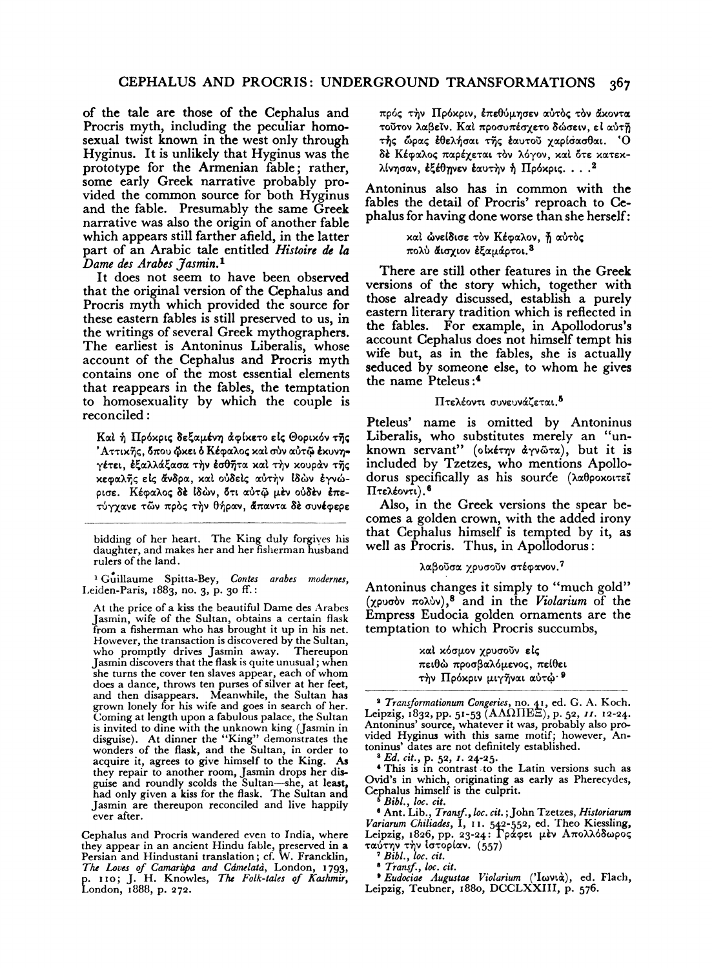of the tale are those of the Cephalus and Procris myth, including the peculiar homosexual twist known in the west only through Hyginus. It is unlikely that Hyginus was the prototype for the Armenian fable; rather, some early Greek narrative probably provided the common source for both Hyginus and the fable. Presumably the same Greek narrative was also the origin of another fable which appears still farther afield, in the latter part of an Arabic tale entitled *Histoire de la Dame des Arabes Jasmin.* <sup>1</sup>

It does not seem to have been observed that the original version of the Cephalus and Procris myth which provided the source for these eastern fables is still preserved to us, in the writings of several Greek mythographers. The earliest is Antoninus Liberalis, whose account of the Cephalus and Procris myth contains one of the most essential elements that reappears in the fables, the temptation to homosexuality by which the couple is reconciled :

Kal ή Πρόκρις δεξαμένη άφίκετο είς Θορικόν της 'Αττικῆς, δπου ὤκει ὁ Κέφαλος και σύν αὐτῷ έκυνη• γέτει, έξαλλάξασα την έσθητα καί την κουράν της xεφαλής είς άνδρα, και ούδεις αύτην ιδών έγνώρισε. Κέφαλος δε ίδών, ότι αύτω μέν ούδεν έπετύγχανε τῶν πρός την θήραν, άπαντα δέ συνέφερε

bidding of her heart. The King duly forgiyes his daughter, and makes her and her fisherman husband rulers of the land.

<sup>1</sup> Guillaume Spitta-Bey, Contes arabes modernes, Leiden-Paris, 1883, no. 3, p. 30 ff.:

At the price of a kiss the beautiful Dame des Arabes Jasmin, wife of the Sultan, obtains a certain flask from a fisherman who has brought it up in his net. However, the transaction is discovered by the Sultan, who promptly drives Jasmin away. Thereupon who promptly drives Jasmin away. Jasmin discovers that the flask is quite unusual; when she turns the cover ten slaves appear, each of whom does a dance, throws ten purses of silver at her feet, and then disappears. Meanwhile, the Sultan has grown lonely for his wife and goes in search of her. Coming at length upon a fabulous palace, the Sultan is invited to dine with the unknown king (Jasmin in disguise). At dinner the "King" demonstrates the wonders of the flask, and the Sultan, in order to acquire it, agrees to give himself to the King. As they repair to another room, Jasmin drops her disguise and roundly scolds the Sultan-she, at least, had only given a kiss for the flask. The Sultan and Jasmin are thereupon reconciled and live happily ever after.

Cephalus and Procris wandered even to India, where they appear in an ancient Hindu fable, preserved in a Persian and Hindustani translation; cf. W. Francklin, The Loves of *Camarupa and Cámelatà*, London, 1793, p. 110; J. H. Knowles, *TM Folk-tales* of *Kashmir,*  London, 1888, p. 272. πρός την Πρόκριν, επεθύμησεν αύτος τον άκοντα τούτον λαβεϊν. Καί προσυπέσχετο δώσειν, εί αύτη τής ώρας έθελήσαι της έαυτού χαρίσασθαι. 'Ο δέ Κέφαλος παρέχεται τον λόγον, καί ότε κατεκλίνησαν, έξέθηνεν έαυτην ή Πρόκρις. . . .  $^{2}$ 

Antoninus also has in common with the fables the detail of Procris' reproach to Cephalus for having done worse than she herself:

> καί ώνείδισε τον Κέφαλον, ή αύτος πολύ άισχιον έξαμάρτοι.<sup>3</sup>

There are still other features in the Greek versions of the story which, together with those already discussed, establish a purely eastern literary tradition which is reflected in the fables. For example, in Apollodorus's account Cephalus does not himself tempt his wife but, as in the fables, she is actually seduced by someone else, to whom he gives the name Pteleus:<sup>4</sup>

### Πτελέοντι συνευνάζεται.<sup>5</sup>

Pteleus' name is omitted by Antoninus Liberalis, who substitutes merely an "unknown servant" (olxety dyvota), but it is included by Tzetzes, who mentions Apollodorus specifically as his source  $(\lambda \alpha \theta)$ poxotrei  $\Pi$ τελέοντι).  $6$ 

Also, in the Greek versions the spear becomes a golden crown, with the added irony that Cephalus himself is tempted by it, as well as Procris. Thus, in Apollodorus :

#### λαβούσα χρυσούν στέφανον. 7

Antoninus changes it simply to "much gold" (χρυσόν πολύν),<sup>8</sup> and in the *Violarium* of the Empress Eudocia golden ornaments are the temptation to which Procris succumbs,

> καί κόσμον χρυσούν είς πειθώ προσβαλόμενος, πείθει τήν Πρόκριν μιγήναι αύτώ $\cdot$ <sup>9</sup>

<sup>2</sup> *Transformationum Congeries, no. 41, ed. G. A. Koch.* Leipzig, 1832, pp. 51-53 (ΑΛΩΠΕΞ), p. 52, 11. 12-24. Antoninus' source, whatever it was, probably also provided Hyginus with this same motif; however, An-<br>toninus' dates are not definitely established. toninus' dates are not definitely established. 8 *Ed. cit.,* p. 52, r. 24-25.

'This is in contrast -to the Latin versions such as Ovid's in which, originating as early as Pherecydes, Cephalus himself is the culprit.<br>
<sup>6</sup> *Bibl., loc. cit.* <br>
<sup>6</sup> Ant. Lib., *Transf., loc. cit.*; John Tzetzes, *Historiarum* 

Variarum Chiliades, I, 11. 542-552, ed. Theo Kiessling,<br>Leipzig, 1826, pp. 23-24: Γράφει μὲν Απολλόδωρος ταύτην τὴν ἰστορίαν. (557)<br>*<sup>7</sup> Bibl., loc. cit.* 

<sup>8</sup> Transf., loc. cit.<br>• *Eudociae Augustae Violarium* ('Ιωνιά), ed. Flach, Leipzig, Teubner, 188o, DCCLXXIII, p. 576.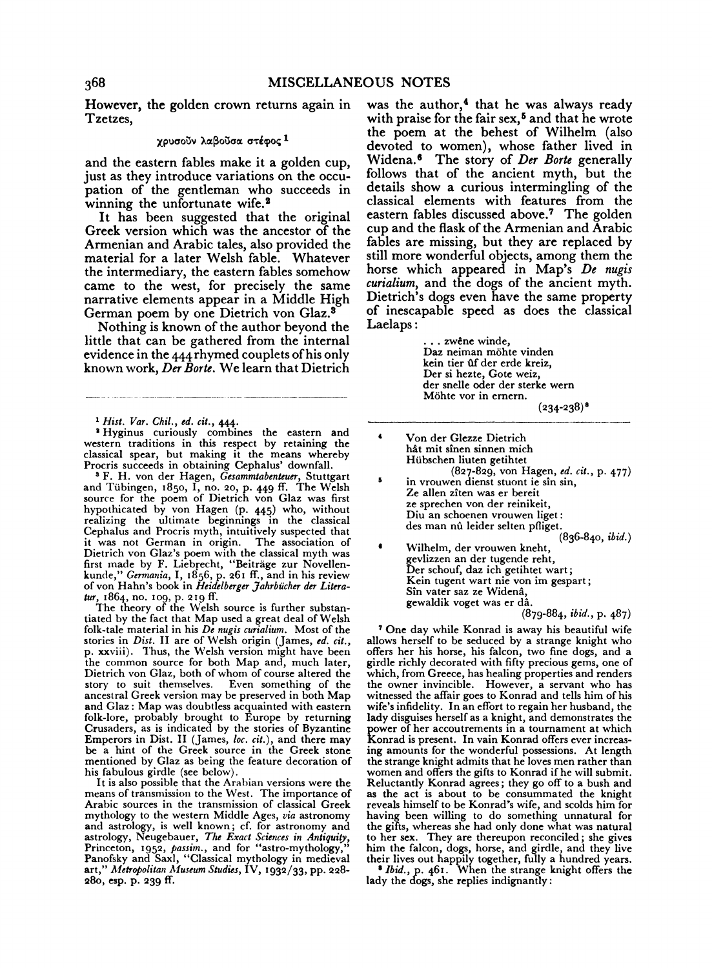However, the golden crown returns again in Tzetzes,

### χρυσούν λαβούσα στέφος 1

and the eastern fables make it a golden cup, just as they introduce variations on the occupation of the gentleman who succeeds in winning the unfortunate wife.<sup>2</sup>

It has been suggested that the original Greek version which was the ancestor of the Armenian and Arabic tales, also provided the material for a later Welsh fable. Whatever the intermediary, the eastern fables somehow came to the west, for precisely the same narrative elements appear in a Middle High German poem by one Dietrich von Glaz. 8

Nothing is known of the author beyond the little that can be gathered from the internal evidence in the 444rhymed couplets of his only known work, *Der Borte.* We learn that Dietrich

<sup>1</sup> Hist. Var. Chil., ed. cit., 444.<br>
<sup>8</sup> Hyginus curiously combines the eastern and western traditions in this respect by retaining the classical spear, but making it the means whereby

Procris succeeds in obtaining Cephalus' downfall.<br><sup>3</sup> F. H. von der Hagen, *Gesammtabenteuer*, Stuttgart and Tilbingen, 1850, I, no. 20, p. 449 ff. The Welsh source for the poem of Dietrich von Glaz was first hypothicated by von Hagen (p. 445) who, without realizing the ultimate beginnings in the classical Cephalus and Procris myth, intuitively suspected that it was not German in origin. The association of Dietrich von Glaz's poem with the classical myth was first made by F. Liebrecht, "Beiträge zur Novellenkunde," *Germariia,* I, 1856, p. 261 ff., and in his review ofvon Hahn's book in *Heidelberger ]ahrbiicher der Litera-*

tur, 1864, no. 109, p. 219 ff.<br>The theory of the Welsh source is further substantiated by the fact that Map used a great deal of Welsh folk-tale material in his *De nugis curialium.* Most of the stories in *Dist.* II are of Welsh origin (James, *ed. cit.,*  p. xxviii). Thus, the Welsh version might have been the common source for both Map and, much later, Dietrich von Glaz, both of whom of course altered the story to suit themselves. Even something of the story to suit themselves. Even something of the ancestral Greek version may be preserved in both Map and Glaz: Map was doubtless acquainted with eastern folk-lore, probably brought to Europe by returning Crusaders, as is indicated by the stories of Byzantine Emperors in Dist. II (James, *loc. cit.),* and there may be a hint of the Greek source in the Greek stone mentioned by Glaz as being the feature decoration of his fabulous girdle (see below).

It is also possible that the Arabian versions were the means of transmission to the West. The importance of Arabic sources in the transmission of classical Greek mythology to the western Middle Ages, *via* astronomy and astrology, is well known; cf. for astronomy and astrology, Neugebauer, *The Exact Sciences in Antiquity*,<br>Princeton, 1952, *passim.*, and for "astro-mythology,"<br>Panofsky and Saxl, "Classical mythology in medieval art," Metropolitan Museum Studies, IV, 1932/33, pp. 228-28o, esp. p. 239 ff.

was the author,<sup>4</sup> that he was always ready with praise for the fair sex,<sup>5</sup> and that he wrote the poem at the behest of Wilhelm (also devoted to women), whose father lived in Widena. • The story of *Der Borte* generally follows that of the ancient myth, but the details show a curious intermingling of the classical elements with features from the eastern fables discussed above.<sup>7</sup> The golden cup and the flask of the Armenian and Arabic fables are missing, but they are replaced by still more wonderful objects, among them the horse which appeared in Map's *De nugis curialium,* and the dogs of the ancient myth. Dietrich's dogs even have the same property of inescapable speed as does the classical Laelaps:

> .. zwêne winde, Daz neiman möhte vinden kein tier ûf der erde kreiz, Der si hezte, Gote weiz, der snelle oder der sterke wern<br>Möhte vor in ernern.<br>(234-238)<sup>8</sup>

Von der Glezze Dietrich hât mit sînen sinnen mich Hilbschen liuten getihtet (827-829, von Hagen, *ed. cit.,* p. 477) in vrouwen dienst stuont ie sin sin, Ze alien ziten was er bereit ze sprechen von der reinikeit,<br>Diu an schoenen vrouwen liget: des man nû leider selten pfliget.

(836-840, *ibid.)* 

Wilhelm, der vrouwen kneht, gevlizzen an der tugende reht, Der schouf, daz ich getihtet wart; Kein tugent wart nie von im gespart; Sin vater saz ze Widena, gewaldik voget was er da.

(879-884, *ibid.,* p. 487)

7 One day while Konrad is away his beautiful wife allows herself to be seduced by a strange knight who offers her his horse, his falcon, two fine dogs, and a girdle richly decorated with fifty precious gems, one of which, from Greece, has healing properties and renders the owner invincible. However, a servant who has witnessed the affair goes to Konrad and tells him of his wife's infidelity. In an effort to regain her husband, the lady disguises herself as a knight, and demonstrates the power of her accoutrements in a tournament at which power of her accoutrements in a commenced offers ever increas-<br>Konrad is present. In vain Konrad offers even increasing amounts for the wonderful possessions. At length the strange knight admits that he loves men rather than women and offers the gifts to Konrad if he will submit.<br>Reluctantly Konrad agrees; they go off to a bush and Reluctantly Konrad agrees; they go off to a bush and as the act is about to be consummated the knight reveals himself to be Konrad's wife, and scolds him for having been willing to do something unnatural for the gifts, whereas she had only done what was natural to her sex. They are thereupon reconciled ; she gives him the falcon, dogs, horse, and girdle, and they live their lives out happily together, fully a hundred years. 1 *Ibid.,* p. 461. When the strange knight offers the

lady the dogs, she replies indignantly :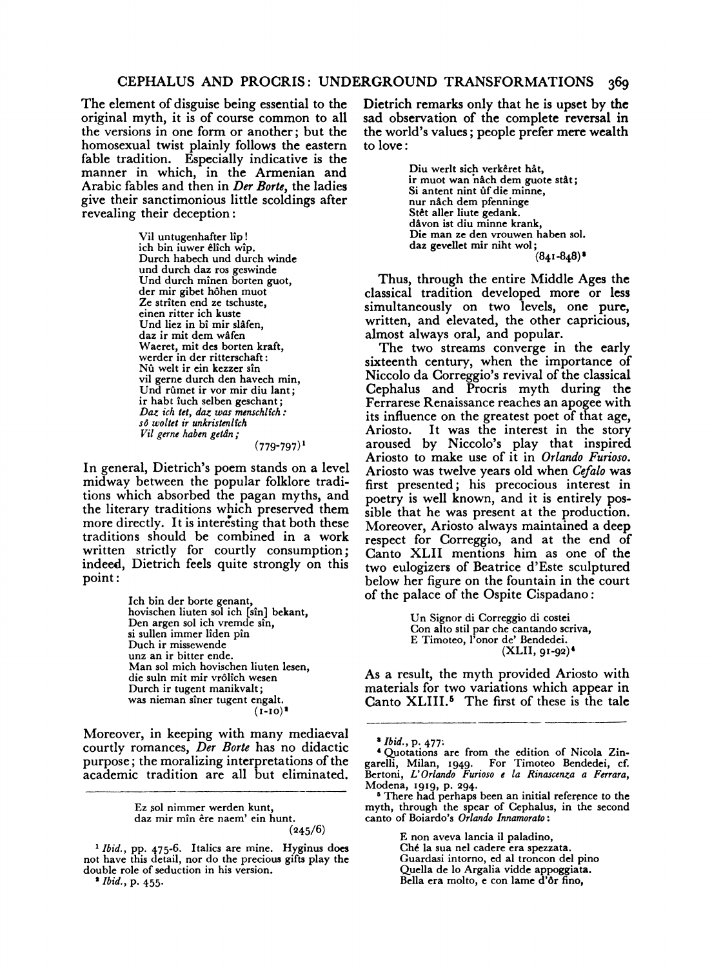# CEPHALUS AND PROCRIS: UNDERGROUND TRANSFORMATIONS 369

The element of disguise being essential to the original myth, it is of course common to all the versions in one form or another; but the homosexual twist plainly follows the eastern fable tradition. Especially indicative is the manner in which, in the Armenian and Arabic fables and then in *Der Borte,* the ladies give their sanctimonious little scoldings after revealing their deception :

> Vil untugenhafter lip! ich bin iuwer elich wip. Durch habech und durch winde und durch daz ros geswinde Und durch minen borten guot, der mir gibet hohen muot Ze striten end ze tschuste, einen ritter ich kuste Und liez in bi mir slafen, daz ir mit dem wafen Waeret, mit des borten kraft, werder in der ritterschaft: Nû welt ir ein kezzer sîn vil gerne durch den havech min, Und rûmet ir vor mir diu lant; ir habt iuch selben geschant; *Daz ich tet, daz was menschlich:*<br>so woltet ir unkristenlich *Vil gerne haben getan* ;  $(779-797)^1$

In general, Dietrich's poem stands on a level midway between the popular folklore traditions which absorbed the pagan myths, and the literary traditions which preserved them more directly. It is interesting that both these traditions should be combined in a work written strictly for courtly consumption; indeed, Dietrich feels quite strongly on this point:

> Ich bin der borte genant, hovischen liuten sol ich [sin] bekant, Den argen sol ich vremde sin, si sullen immer liden pin Duch ir missewende unz an ir bitter ende. Man sol mich hovischen liuten lesen, die suln mit mir vrôlîch wesen<br>Durch ir tugent manikvalt; was nieman sîner tugent engalt.  $(1-10)^2$

Moreover, in keeping with many mediaeval courtly romances, *Der Borte* has no didactic purpose; the moralizing interpretations of the academic tradition are all but eliminated.

Dietrich remarks only that he is upset by **the**  sad observation of the complete reversal in the world's values; people prefer mere wealth to love:

> Diu werlt sich verkêret hât, ir muot wan nâch dem guote stât;<br>Si antent nint ûf die minne. nur nåch dem pfenninge Stet aller liute gedank. davon ist diu minne krank, Die man ze den vrouwen haben sol. daz gevellet mir niht wol;  $(841 - 848)$ <sup>3</sup>

Thus, through the entire Middle Ages the classical tradition developed more or less simultaneously on two levels, one pure, written, and elevated, the other capricious, almost always oral, and popular.

The two streams converge in the early sixteenth century, when the importance of Niccolo da Correggio's revival of the classical Cephalus and Procris myth during the Ferrarese Renaissance reaches an apogee with its influence on the greatest poet of that age,<br>Ariosto. It was the interest in the story It was the interest in the story aroused by Niccolo's play that inspired Ariosto to make use of it in *Orlando Furioso.*  Ariosto was twelve years old when *Cefalo* was first presented; his precocious interest in poetry is well known, and it is entirely possible that he was present at the production. Moreover, Ariosto always maintained a deep respect for Correggio, and at the end of Canto XLII mentions him as one of the two eulogizers of Beatrice d'Este sculptured below her figure on the fountain in the court of the palace of the Ospite Cispadano:

> Un Signor di Correggio di costei Con alto stil par che cantando scriva, E Timoteo, l'onor de' Bendedei. (XLII, 91-92) <sup>1</sup>

As a result, the myth provided Ariosto with materials for two variations which appear in Canto XLIII.<sup>5</sup> The first of these is the tale

E non aveva lancia ii paladino, Che Ia sua nel cadere era spezzata. Guardasi intorno, ed al troncon de! pino Quella de lo Argalia vidde appoggiata. Bella era molto, e con lame d'6r fino,

Ez sol nimmer werden kunt, daz mir min ere naem' ein hunt.  $(245/6)$ 

<sup>1</sup>*lbid.,* pp. 475-6. Italics are mine. Hyginus does not have this detail, nor do the precious gifts play the double role of seduction in his version. 1 *Ibid.,* p. 455.

<sup>&</sup>lt;sup>8</sup> *Ibid.*, p. 477:<br><sup>4</sup> Quotations are from the edition of Nicola Zingarelli, Milan, 1949. For Timoteo Bendedei, cf.<br>Bertoni, *L' Orlando Furioso e la Rinascenza a Ferrara*, Modena, 1919, p. 294. • There had perhaps been an initial reference to the

myth, through the spear of Cephalus, in the second canto of Boiardo's *Orlando Innamorato:*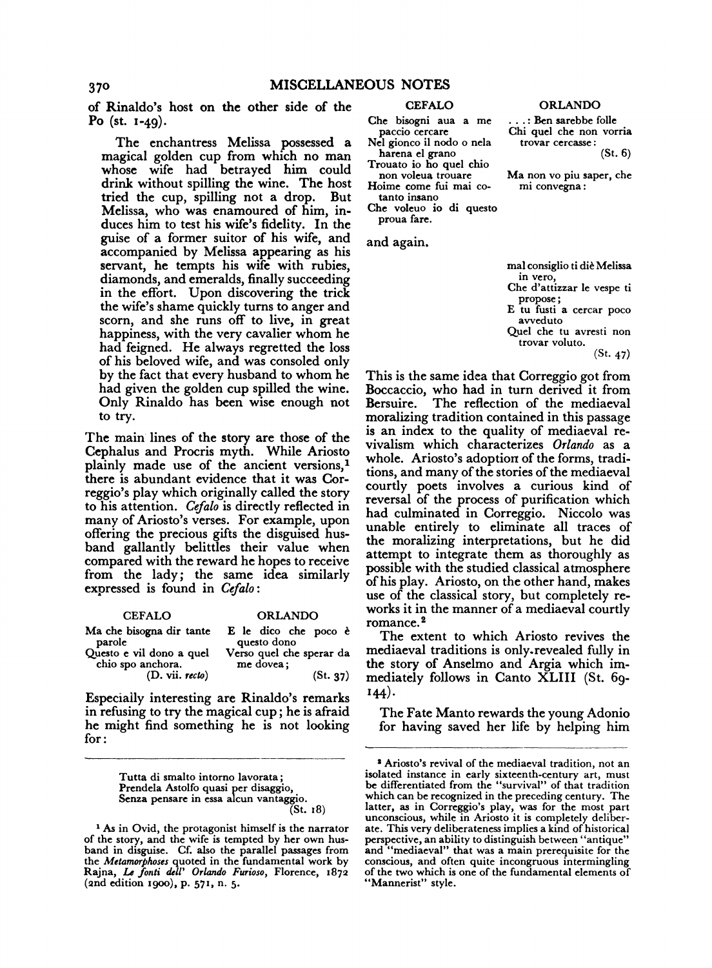of Rinaldo's host on the other side of the Po (st. 1-49).

The enchantress Melissa possessed a magical golden cup from which no man whose wife had betrayed him could drink without spilling the wine. The host tried the cup, spilling not a drop. But Melissa, who was enamoured of him, induces him to test his wife's fidelity. In the guise of a former suitor of his wife, and accompanied by Melissa appearing as his servant, he tempts his wife with rubies, diamonds, and emeralds, finally succeeding in the effort. Upon discovering the trick the wife's shame quickly turns to anger and scorn, and she runs off to live, in great happiness, with the very cavalier whom he had feigned. He always regretted the loss of his beloved wife, and was consoled only by the fact that every husband to whom he had given the golden cup spilled the wine. Only Rinaldo has been wise enough not to try.

The main lines of the story are those of the Cephalus and Procris myth. While Ariosto plainly made use of the ancient versions,<sup>1</sup> there is abundant evidence that it was Correggio's play which originally called the story to his attention. *Cefalo* is directly reflected in many of Ariosto's verses. For example, upon offering the precious gifts the disguised husband gallantly belittles their value when compared with the reward he hopes to receive from the lady; the same idea similarly expressed is found in *Cefalo* :

| <b>CEFALO</b>                                 | <b>ORLANDO</b>                                              |
|-----------------------------------------------|-------------------------------------------------------------|
| parole                                        | Ma che bisogna dir tante Ele dico che poco è<br>questo dono |
| Questo e vil dono a quel<br>chio spo anchora. | Verso quel che sperar da<br>me dovea;                       |
| (D. vii. recto)                               | (St. 37)                                                    |

Especially interesting are Rinaldo's remarks in refusing to try the magical cup; he is afraid he might find something he is not looking for:

> Tutta di smalto intorno lavorata; Prendela Astolfo quasi per disaggio, Senza pensare in essa alcun vantaggio. (St. 18)

1 As in Ovid, the protagonist himself is the narrator of the story, and the wife is tempted by her own hus-band in disguise. Cf. also the parallel passages from the *Metamorphoses* quoted in the fundamental work by Rajna, *IA fonti dell' Orlando Furioso,* Florence, 1872 (2nd edition 1900), p. 571, n. 5.

#### CEFALO

Che bisogni aua a me paccio cercare Nel gionco ii nodo o nela harena el grano

Trouato io ho qucl chio non voleua trouare

Hoime come fui mai cotanto insano

Che voleuo io di questo proua fare.

and again.

| mal consiglio ti diè Melissa         |
|--------------------------------------|
| in vero,                             |
| Che d'attizzar le vespe ti           |
| propose;                             |
| E tu fusti a cercar poco<br>avveduto |
|                                      |
| Quel che tu avresti non              |
| trovar voluto.                       |

(St. 47)

This is the same idea that Correggio got from Boccaccio, who had in turn derived it from The reflection of the mediaeval moralizing tradition contained in this passage is an index to the quality of mediaeval revivalism which characterizes *Orlando* as a whole. Ariosto's adoption of the forms, traditions, and many of the stories of the mediaeval courtly poets involves a curious kind of reversal of the process of purification which had culminated in Correggio. Niccolo was unable entirely to eliminate all traces of the moralizing interpretations, but he did attempt to integrate them as thoroughly as possible with the studied classical atmosphere of his play. Ariosto, on the other hand, makes use of the classical story, but completely reworks it in the manner of a mediaeval courtly romance. <sup>2</sup>

The extent to which Ariosto revives the mediaeval traditions is only.revealed fully in the story of Anselmo and Argia which immediately follows in Canto XLIII (St. 69- 144).

The Fate Manto rewards the young Adonio for having saved her life by helping him

ORLANDO

. .. : Ben sarebbe folle Chi quel che non vorria trovar cercasse :

(St. 6)

Ma non vo piu saper, che mi convegna :

<sup>&</sup>lt;sup>2</sup> Ariosto's revival of the mediaeval tradition, not an isolated instance in early sixteenth-century art, must be differentiated from the "survival" of that tradition which can be recognized in the preceding century. The latter, as in Correggio's play, was for the most part unconscious, while in Ariosto it is completely deliberate. This very deliberateness implies a kind of historical perspective, an ability to distinguish between "antique" and "mediaeval" that was a main prerequisite for the conscious, and often quite incongruous intermingling of the two which is one of the fundamental elements of "Mannerist" style.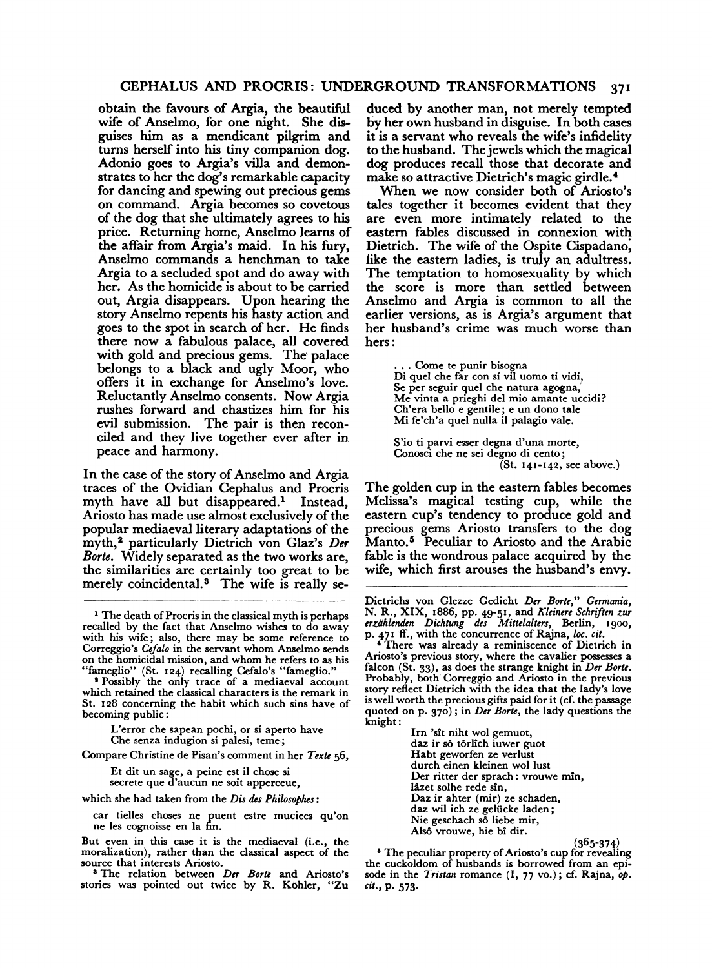### CEPHALUS AND PROCRIS: UNDERGROUND TRANSFORMATIONS 371

obtain the favours of Argia, the beautiful wife of Anselmo, for one night. She disguises him as a mendicant pilgrim and turns herself into his tiny companion dog. Adonio goes to Argia's villa and demonstrates to her the dog's remarkable capacity for dancing and spewing out precious gems on command. Argia becomes so covetous of the dog that she ultimately agrees to his price. Returning home, Anselmo learns of the affair from Argia's maid. In his fury, Anselmo commands a henchman to take Argia to a secluded spot and do away with her. As the homicide is about to be carried out, Argia disappears. Upon hearing the story Anselmo repents his hasty action and goes to the spot in search of her. He finds there now a fabulous palace, all covered with gold and precious gems. The palace belongs to a black and ugly Moor, who offers it in exchange for Anselmo's love. Reluctantly Anselmo consents. Now Argia rushes forward and chastizes him for his evil submission. The pair is then reconciled and they live together ever after in peace and harmony.

In the case of the story of Anselmo and Argia traces of the Ovidian Cephalus and Procris myth have all but disappeared.<sup>1</sup> Instead, Ariosto has made use almost exclusively of the popular mediaeval literary adaptations of the myth, 8 particularly Dietrich von Glaz's *Der Borte.* Widely separated as the two works are, the similarities are certainly too great to be merely coincidental.<sup>3</sup> The wife is really se-

Compare Christine de Pisan's comment in her *Texte* 56,

Et dit un sage, a peine est ii chose si secrete que d'aucun ne soit apperceue,

which she had taken from the *Dis des Philosophes:* 

car tielles choses ne puent estre muciees qu'on ne les cognoisse en la fin.

But even in this case it is the mediaeval (i.e., the moralization), rather than the classical aspect of the source that interests Ariosto.<br><sup>3</sup> The relation between *Der Borte* and Ariosto's

stories was pointed out twice by R. Köhler, "Zu

duced by another man, not merely tempted by her own husband in disguise. In both cases it is a servant who reveals the wife's infidelity to the husband. The jewels which the magical dog produces recall those that decorate and make so attractive Dietrich's magic girdle.<sup>4</sup>

When we now consider both of Ariosto's tales together it becomes evident that they are even more intimately related to the eastern fables discussed in connexion with Dietrich. The wife of the Ospite Cispadano; iike the eastern ladies, is truly an adultress. The temptation to homosexuality by which the score is more than settled between Anselmo and Argia is common to all the earlier versions, as is Argia's argument that her husband's crime was much worse than hers:

> . Come te punir bisogna Di quel che far con sí vil uomo ti vidi, Se per seguir quel che natura agogna; Me vinta a prieghi del mio amante uccidi? Ch'era bello e gentile; e un dono tale Mi fe'ch'a quel nulla ii palagio vale.

S'io ti parvi esser degna d'una morte, Conosci che ne sci degno di cento; (St. 141-142, see above.)

The golden cup in the eastern fables becomes Melissa's magical testing cup, while the eastern cup's tendency to produce gold and precious gems Ariosto transfers to the dog Manto.<sup>5</sup> Peculiar to Ariosto and the Arabic fable is the wondrous palace acquired by the wife, which first arouses the husband's envy.

Im 'sit niht wol gemuot, daz ir sô tôrlîch iuwer guot Habt geworfen ze verlust durch einen kleinen wol lust Der ritter der sprach: vrouwe min, lâzet solhe rede sîn, Daz ir ahter (mir) ze schaden, daz wil ich ze geliicke laden; Nie geschach s $\delta$  liebe mir, Alsô vrouwe, hie bî dir.

(365-374) 1 The peculiar property of Ariosto's cup for revealing the cuckoldom of husbands is borrowed from an episode in the *Tristan* romance (I, 77 vo.); cf. Rajna, *op.*  cit., p. 573.

<sup>1</sup> The death of Procris in the classical myth is perhaps recalled by the fact that Anselmo wishes to do away with his wife; also, there may be some reference to Correggio's Cefalo in the servant whom Anselmo sends Correggio's *Cefalo* in the servant whom Anselmo sends on the homicidal mission, and whom he refers to as his

<sup>&</sup>quot;fameglio" (St. 124) recalling Cefalo's "fameglio." 1 Possibly the only trace of a mediaeval account which retained the classical characters is the remark in St. 128 concerning the habit which such sins have of becoming public:

L'error che sapean pochi, or si aperto have Che senza indugion si palesi, teme.;

Dietrichs von Glezze Gedicht *Der Borte," Germania,*  N. R., XIX, 1886, pp. 49-51, and *Kleinere Schriften zur erzii/dmden Dichtung* des *Mittelalters,* Berlin, 1900,

p. 471 ff., with the concurrence of Rajna, *loc. cit.* **There was already a reminiscence of Dietrich in** Ariosto's previous story, where the cavalier possesses a falcon (St. 33), as does the strange knight in *Der Borte.*  Probably, both' Correggio and Ariosto in the previous story reflect Dietrich with the idea that the lady's love is well worth the precious gifts paid for it (cf. the passage quoted on p. 370); in *Der Borte,* the lady questions the knight: